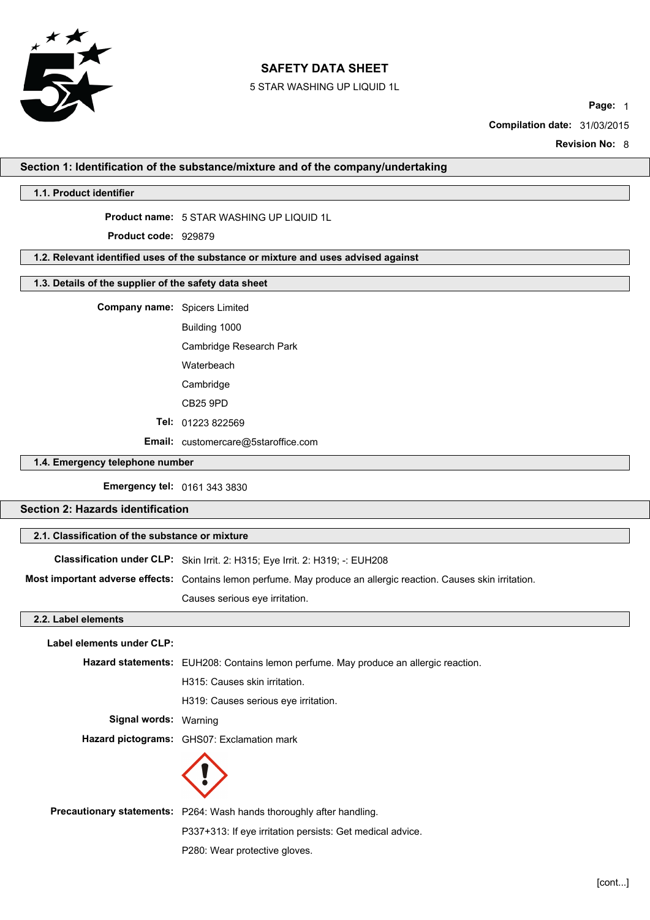

5 STAR WASHING UP LIQUID 1L

**Page:** 1

**Compilation date:** 31/03/2015

**Revision No:** 8

## **Section 1: Identification of the substance/mixture and of the company/undertaking**

### **1.1. Product identifier**

**Product name:** 5 STAR WASHING UP LIQUID 1L

**Product code:** 929879

## **1.2. Relevant identified uses of the substance or mixture and uses advised against**

## **1.3. Details of the supplier of the safety data sheet**

**Company name:** Spicers Limited

Building 1000

Cambridge Research Park

Waterbeach

Cambridge

CB25 9PD

**Tel:** 01223 822569

**Email:** customercare@5staroffice.com

#### **1.4. Emergency telephone number**

**Emergency tel:** 0161 343 3830

## **Section 2: Hazards identification**

### **2.1. Classification of the substance or mixture**

**Classification under CLP:** Skin Irrit. 2: H315; Eye Irrit. 2: H319; -: EUH208

**Most important adverse effects:** Contains lemon perfume. May produce an allergic reaction. Causes skin irritation.

Causes serious eye irritation.

## **2.2. Label elements**

| Label elements under CLP: |                                                                                      |
|---------------------------|--------------------------------------------------------------------------------------|
|                           | Hazard statements: EUH208: Contains lemon perfume. May produce an allergic reaction. |
|                           | H315: Causes skin irritation.                                                        |
|                           | H319: Causes serious eye irritation.                                                 |
| Signal words: Warning     |                                                                                      |
|                           | Hazard pictograms: GHS07: Exclamation mark                                           |
|                           |                                                                                      |
|                           | <b>Precautionary statements:</b> P264: Wash hands thoroughly after handling.         |
|                           | P337+313: If eye irritation persists: Get medical advice.                            |

P280: Wear protective gloves.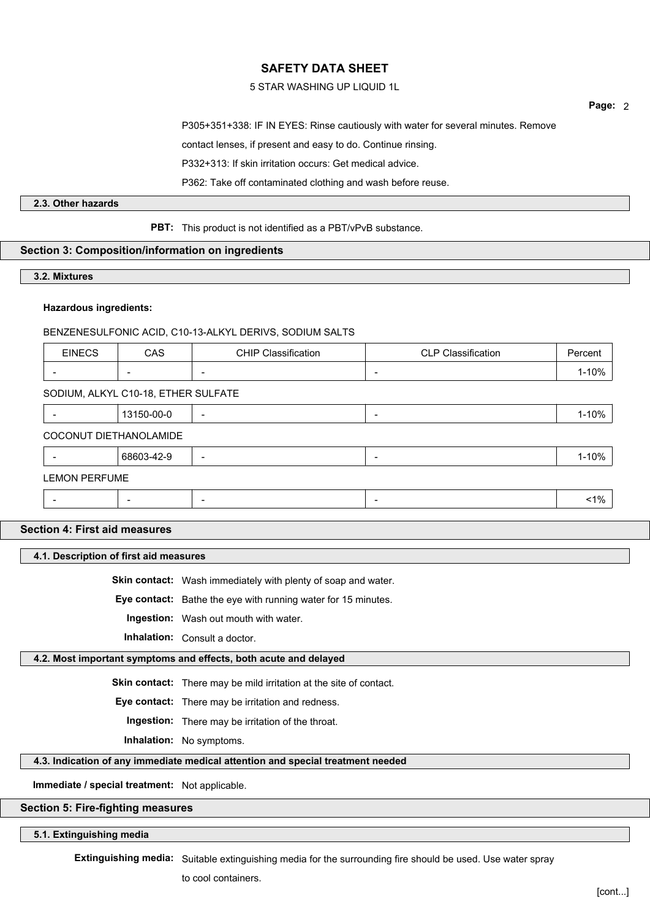## 5 STAR WASHING UP LIQUID 1L

**Page:** 2

P305+351+338: IF IN EYES: Rinse cautiously with water for several minutes. Remove

contact lenses, if present and easy to do. Continue rinsing.

P332+313: If skin irritation occurs: Get medical advice.

P362: Take off contaminated clothing and wash before reuse.

## **2.3. Other hazards**

**PBT:** This product is not identified as a PBT/vPvB substance.

## **Section 3: Composition/information on ingredients**

#### **3.2. Mixtures**

## **Hazardous ingredients:**

## BENZENESULFONIC ACID, C10-13-ALKYL DERIVS, SODIUM SALTS

| <b>EINECS</b>                       | <b>CAS</b> | <b>CHIP Classification</b> | <b>CLP Classification</b> | Percent |
|-------------------------------------|------------|----------------------------|---------------------------|---------|
|                                     |            |                            | $\overline{\phantom{0}}$  | 1-10%   |
| SODIUM, ALKYL C10-18, ETHER SULFATE |            |                            |                           |         |
|                                     | 13150-00-0 |                            | $\overline{\phantom{0}}$  | 1-10%   |
| COCONUT DIETHANOLAMIDE              |            |                            |                           |         |
|                                     | 68603-42-9 |                            | $\overline{\phantom{a}}$  | 1-10%   |
| <b>LEMON PERFUME</b>                |            |                            |                           |         |
|                                     |            |                            |                           | $1\%$   |
|                                     |            |                            |                           |         |

## **Section 4: First aid measures**

**4.1. Description of first aid measures**

**Skin contact:** Wash immediately with plenty of soap and water.

**Eye contact:** Bathe the eye with running water for 15 minutes.

**Ingestion:** Wash out mouth with water.

**Inhalation:** Consult a doctor.

#### **4.2. Most important symptoms and effects, both acute and delayed**

**Skin contact:** There may be mild irritation at the site of contact.

**Eye contact:** There may be irritation and redness.

**Ingestion:** There may be irritation of the throat.

**Inhalation:** No symptoms.

**4.3. Indication of any immediate medical attention and special treatment needed**

**Immediate / special treatment:** Not applicable.

## **Section 5: Fire-fighting measures**

#### **5.1. Extinguishing media**

**Extinguishing media:** Suitable extinguishing media for the surrounding fire should be used. Use water spray

to cool containers.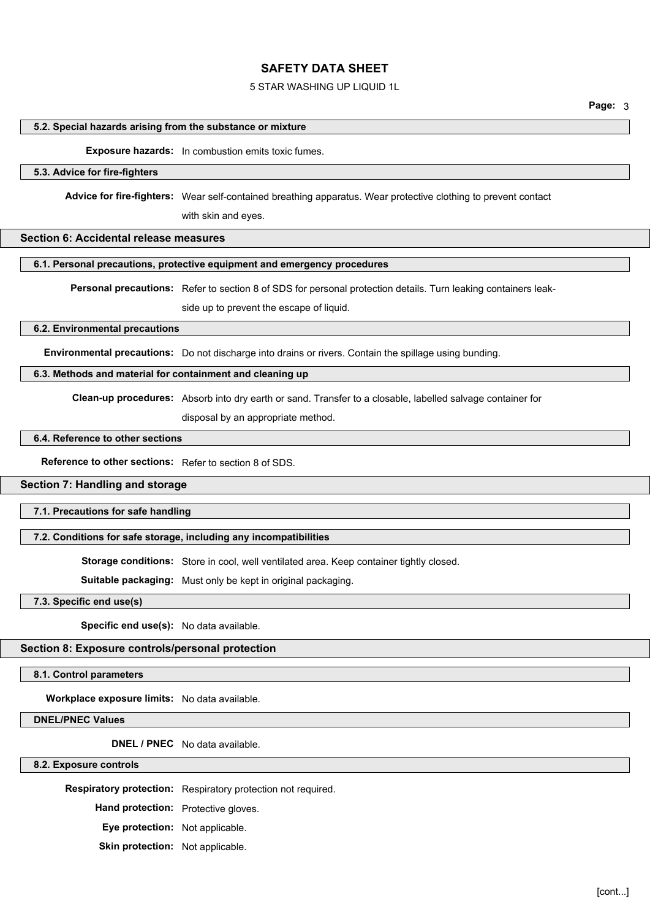### 5 STAR WASHING UP LIQUID 1L

**Page:** 3

#### **5.2. Special hazards arising from the substance or mixture**

**Exposure hazards:** In combustion emits toxic fumes.

#### **5.3. Advice for fire-fighters**

**Advice for fire-fighters:** Wear self-contained breathing apparatus. Wear protective clothing to prevent contact

with skin and eyes.

## **Section 6: Accidental release measures**

#### **6.1. Personal precautions, protective equipment and emergency procedures**

**Personal precautions:** Refer to section 8 of SDS for personal protection details. Turn leaking containers leak-

side up to prevent the escape of liquid.

### **6.2. Environmental precautions**

**Environmental precautions:** Do not discharge into drains or rivers. Contain the spillage using bunding.

#### **6.3. Methods and material for containment and cleaning up**

**Clean-up procedures:** Absorb into dry earth or sand. Transfer to a closable, labelled salvage container for

disposal by an appropriate method.

#### **6.4. Reference to other sections**

**Reference to other sections:** Refer to section 8 of SDS.

### **Section 7: Handling and storage**

**7.1. Precautions for safe handling**

## **7.2. Conditions for safe storage, including any incompatibilities**

**Storage conditions:** Store in cool, well ventilated area. Keep container tightly closed.

**Suitable packaging:** Must only be kept in original packaging.

**7.3. Specific end use(s)**

**Specific end use(s):** No data available.

## **Section 8: Exposure controls/personal protection**

**8.1. Control parameters**

**Workplace exposure limits:** No data available.

#### **DNEL/PNEC Values**

**DNEL / PNEC** No data available.

**8.2. Exposure controls**

**Respiratory protection:** Respiratory protection not required.

**Hand protection:** Protective gloves.

**Eye protection:** Not applicable.

**Skin protection:** Not applicable.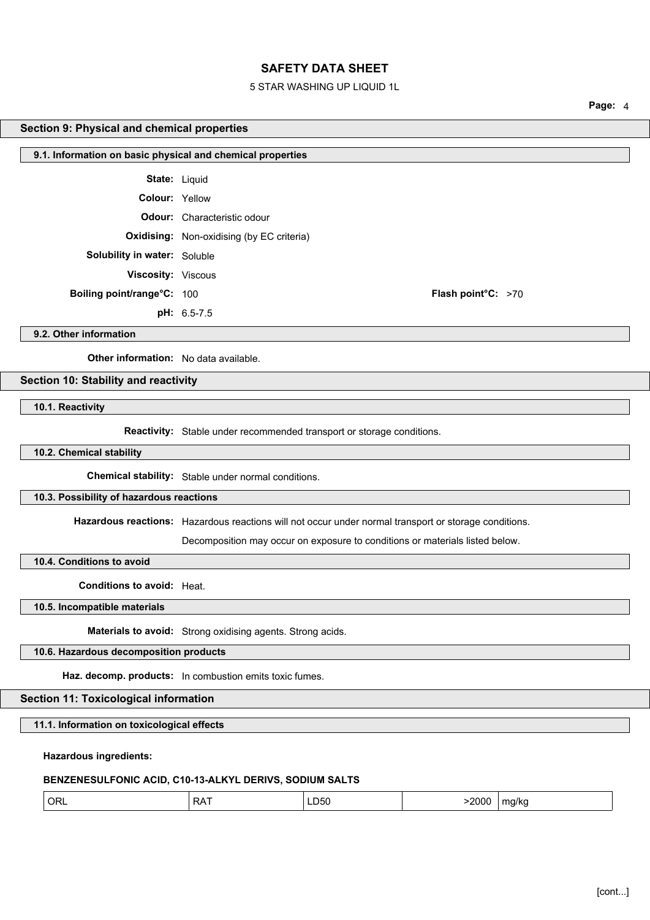#### 5 STAR WASHING UP LIQUID 1L

**Page:** 4

#### **Section 9: Physical and chemical properties**

| 9.1. Information on basic physical and chemical properties |                                                  |  |
|------------------------------------------------------------|--------------------------------------------------|--|
|                                                            | <b>State: Liquid</b>                             |  |
| Colour: Yellow                                             |                                                  |  |
|                                                            | <b>Odour:</b> Characteristic odour               |  |
|                                                            | <b>Oxidising:</b> Non-oxidising (by EC criteria) |  |
| Solubility in water: Soluble                               |                                                  |  |
| Viscosity: Viscous                                         |                                                  |  |
| Boiling point/range°C: 100                                 | Flash point°C: >70                               |  |
|                                                            | pH: 6.5-7.5                                      |  |
| 9.2. Other information                                     |                                                  |  |

**9.2. Other information**

**Other information:** No data available.

## **Section 10: Stability and reactivity**

**10.1. Reactivity**

**Reactivity:** Stable under recommended transport or storage conditions.

#### **10.2. Chemical stability**

**Chemical stability:** Stable under normal conditions.

## **10.3. Possibility of hazardous reactions**

**Hazardous reactions:** Hazardous reactions will not occur under normal transport or storage conditions.

Decomposition may occur on exposure to conditions or materials listed below.

**10.4. Conditions to avoid**

**Conditions to avoid:** Heat.

**10.5. Incompatible materials**

**Materials to avoid:** Strong oxidising agents. Strong acids.

## **10.6. Hazardous decomposition products**

**Haz. decomp. products:** In combustion emits toxic fumes.

### **Section 11: Toxicological information**

**11.1. Information on toxicological effects**

#### **Hazardous ingredients:**

## **BENZENESULFONIC ACID, C10-13-ALKYL DERIVS, SODIUM SALTS**

| ' ORL<br>$\sim$ $\sim$ $\sim$<br>∽۵⊂<br>LD50<br>$\mathbf{v}$ | 2000 | ma/ka<br>. . |
|--------------------------------------------------------------|------|--------------|
|--------------------------------------------------------------|------|--------------|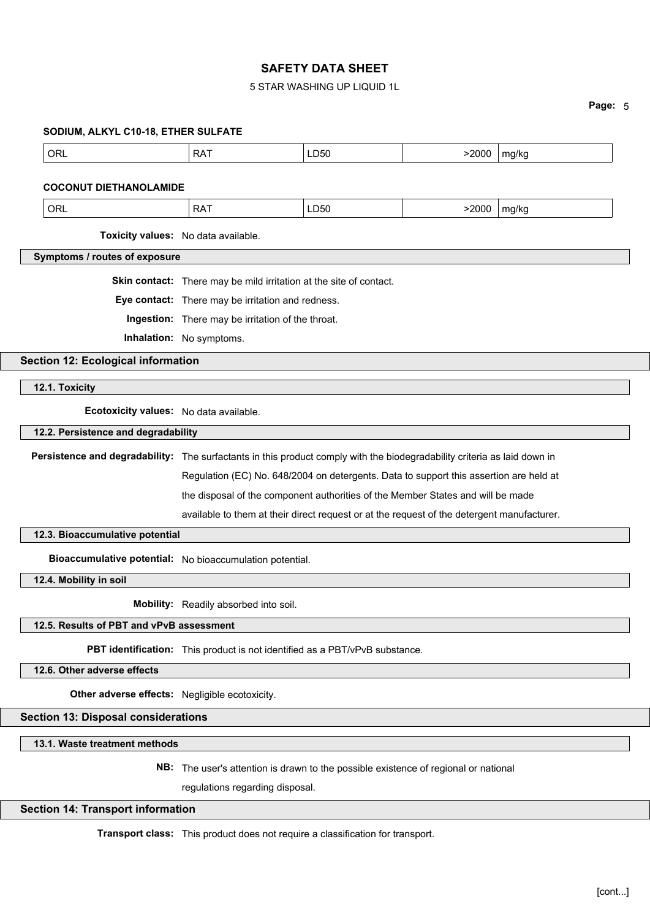## 5 STAR WASHING UP LIQUID 1L

#### **Page:** 5

#### **SODIUM, ALKYL C10-18, ETHER SULFATE**

| ORL<br>LD50<br>D A<br>$\mathbf{v}$<br>$ -$ | $\sim$ $\sim$ $\sim$<br>١N<br>$- - - -$ | <br>ma/ko<br>. |
|--------------------------------------------|-----------------------------------------|----------------|
|--------------------------------------------|-----------------------------------------|----------------|

#### **COCONUT DIETHANOLAMIDE**

| ∩ פ<br>אנ<br>n.<br>◡ ・ ・ ・ ・ | . וריי<br>.<br>-- - - | 2000<br>$- - -$ | ma/ka |
|------------------------------|-----------------------|-----------------|-------|
|------------------------------|-----------------------|-----------------|-------|

**Toxicity values:** No data available.

**Symptoms / routes of exposure**

**Skin contact:** There may be mild irritation at the site of contact.

**Eye contact:** There may be irritation and redness.

**Ingestion:** There may be irritation of the throat.

**Inhalation:** No symptoms.

**Section 12: Ecological information**

**12.1. Toxicity**

**Ecotoxicity values:** No data available.

**12.2. Persistence and degradability**

**Persistence and degradability:** The surfactants in this product comply with the biodegradability criteria as laid down in

Regulation (EC) No. 648/2004 on detergents. Data to support this assertion are held at

the disposal of the component authorities of the Member States and will be made

available to them at their direct request or at the request of the detergent manufacturer.

**12.3. Bioaccumulative potential**

**Bioaccumulative potential:** No bioaccumulation potential.

**12.4. Mobility in soil**

**Mobility:** Readily absorbed into soil.

#### **12.5. Results of PBT and vPvB assessment**

**PBT identification:** This product is not identified as a PBT/vPvB substance.

**12.6. Other adverse effects**

**Other adverse effects:** Negligible ecotoxicity.

**Section 13: Disposal considerations**

**13.1. Waste treatment methods**

**NB:** The user's attention is drawn to the possible existence of regional or national

regulations regarding disposal.

#### **Section 14: Transport information**

**Transport class:** This product does not require a classification for transport.